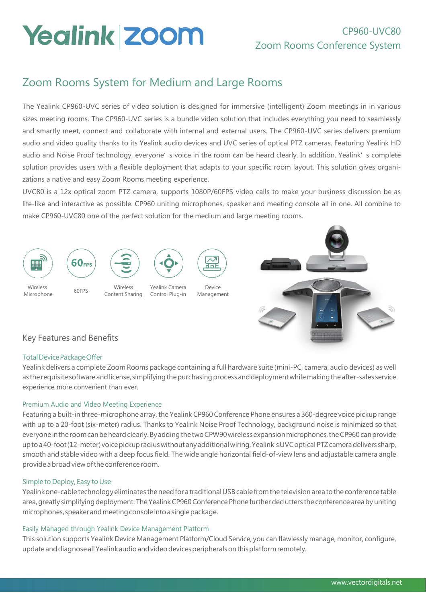# **Yealink Zoom**

# Zoom Rooms System for Medium and Large Rooms

The Yealink CP960-UVC series of video solution is designed for immersive (intelligent) Zoom meetings in in various sizes meeting rooms. The CP960-UVC series is a bundle video solution that includes everything you need to seamlessly and smartly meet, connect and collaborate with internal and external users. The CP960-UVC series delivers premium audio and video quality thanks to its Yealink audio devices and UVC series of optical PTZ cameras. Featuring Yealink HD audio and Noise Proof technology, everyone' s voice in the room can be heard clearly. In addition, Yealink' s complete solution provides users with a flexible deployment that adapts to your specific room layout. This solution gives organizations a native and easy Zoom Rooms meeting experience.

UVC80 is a 12x optical zoom PTZ camera, supports 1080P/60FPS video calls to make your business discussion be as life-like and interactive as possible. CP960 uniting microphones, speaker and meeting console all in one. All combine to make CP960-UVC80 one of the perfect solution for the medium and large meeting rooms.



## Key Features and Benefits

## TotalDevicePackageOffer

Yealink delivers a complete Zoom Rooms package containing a full hardware suite (mini-PC, camera, audio devices) as well as the requisite software and license, simplifying the purchasing process and deployment while making the after-sales service experience more convenient than ever.

## Premium Audio and Video Meeting Experience

Featuring a built-in three-microphone array, the Yealink CP960 Conference Phone ensures a 360-degree voice pickup range with up to a 20-foot (six-meter) radius. Thanks to Yealink Noise Proof Technology, background noise is minimized so that everyone in the room can be heard clearly. By adding the two CPW90 wireless expansion microphones, the CP960 can provide up to a 40-foot (12-meter) voice pickup radius without any additional wiring. Yealink's UVC optical PTZ camera delivers sharp, smooth and stable video with a deep focus field. The wide angle horizontal field-of-view lens and adjustable camera angle provide a broad view of the conference room.

## Simple to Deploy, Easy to Use

Yealink one-cable technology eliminates the need for a traditional USB cable from the television area to the conference table area, greatly simplifying deployment. The Yealink CP960 Conference Phone further declutters the conference area by uniting microphones, speaker and meeting console into a single package.

## Easily Managed through Yealink Device Management Platform

This solution supports Yealink Device Management Platform/Cloud Service, you can flawlessly manage, monitor, configure, update and diagnose all Yealink audio and video devices peripherals on this platform remotely.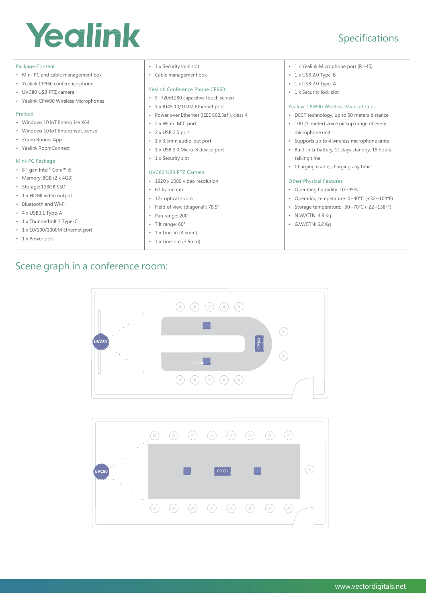# Yealink

# Specifications

#### Package Content

- Mini-PC and cable management box
- Yealink CP960 conference phone
- UVC80 USB PTZ camera
- Yealink CPW90 Wireless Microphones

#### Preload

- Windows 10 IoT Enterprise X64
- Windows 10 IoT Enterprise License
- Zoom Rooms App
- Yealink RoomConnect

#### Mini-PC Package

- 8<sup>th</sup>-gen Intel® Core™ i5
- Memory: 8GB (2 x 4GB)
- Storage: 128GB SSD
- 1 x HDMI video output
- Bluetooth and Wi-Fi
- 4 x USB3.1 Type-A
- 1 x Thunderbolt 3 Type-C
- 1 x 10/100/1000M Ethernet port
- 1 x Power port
- 1 x Security lock slot
- Cable management box

#### Yealink Conference Phone CP960

- 5" 720x1280 capacitive touch screen
- 1 x RJ45 10/100M Ethernet port
- Power over Ethernet (IEEE 802.3af ), class 4
- 2 x Wired MIC port
- 2 x USB 2.0 port
- 1 x 3.5mm audio-out port
- 1 x USB 2.0 Micro-B device port
- 1 x Security slot

#### UVC80 USB PTZ Camera

- 1920 x 1080 video resolution
- 60 frame rate
- 12x optical zoom
- Field of view (diagonal): 78.5°
- 
- 
- 1 x Line-out (3.5mm)
- 1 x Yealink Microphone port (RJ-45)
- 1 x USB 2.0 Type-B
- 1 x USB 2.0 Type-A
- 1 x Security lock slot

#### Yealink CPW90 Wireless Microphones

- DECT technology, up to 50 meters distance
- 10ft (3-meter) voice pickup range of every microphone unit
- Supports up to 4 wireless microphone units
- Built-in Li-battery, 11 days standby, 19 hours talking time
- Charging cradle, charging any time

#### Other Physical Features

- Operating humidity: 10~95%
- Operating temperature: 0~40°C (+32~104°F)
- Storage temperature: -30~70°C (-22~158°F)
- N.W/CTN: 4.9 Kg
- G.W/CTN: 6.2 Kg

# Scene graph in a conference room:





- Pan range: 200°
	- Tilt range: 60°
	-

# $\cdot$  1 x Line-in (3.5mm)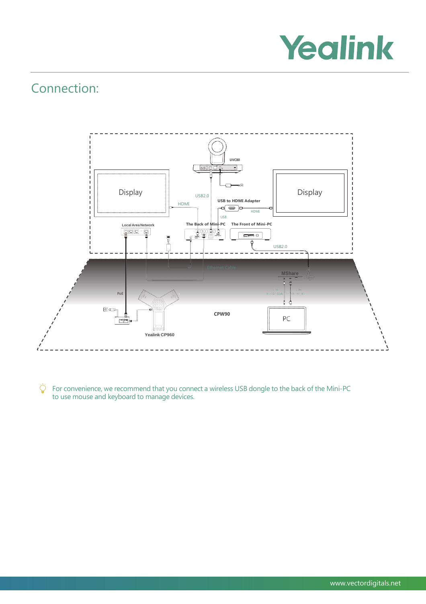

# Connection:



Ö For convenience, we recommend that you connect a wireless USB dongle to the back of the Mini-PC to use mouse and keyboard to manage devices.